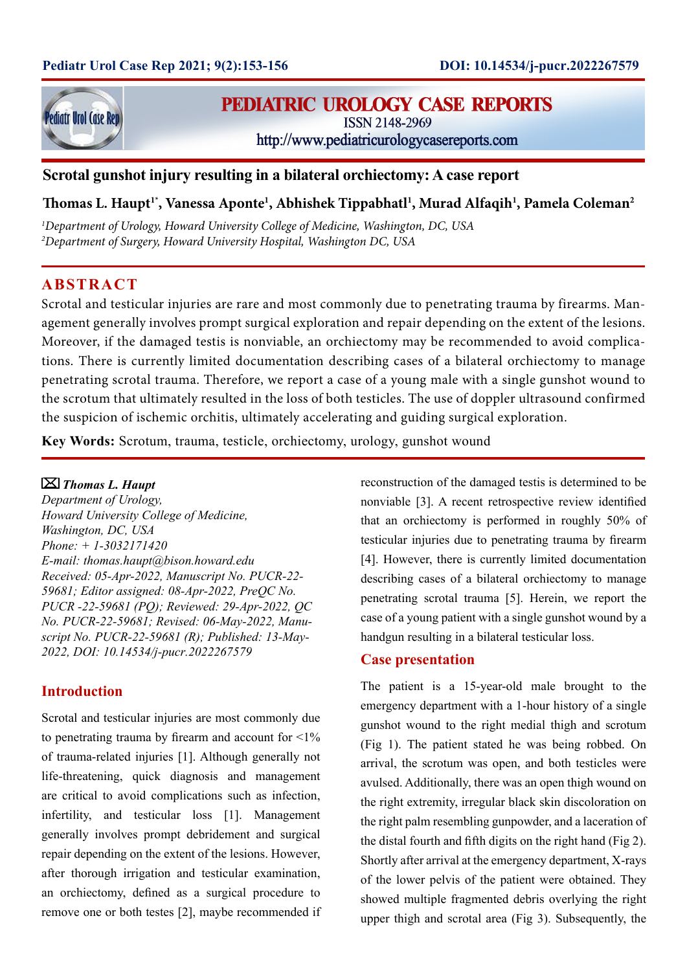

# **PEDIATRIC UROLOGY CASE REPORTS**

**ISSN 2148-2969** 

http://www.pediatricurologycasereports.com

# **Scrotal gunshot injury resulting in a bilateral orchiectomy: A case report**

# **Thomas L. Haupt1\*, Vanessa Aponte1 , Abhishek Tippabhatl1 , Murad Alfaqih1 , Pamela Coleman2**

*1 Department of Urology, Howard University College of Medicine, Washington, DC, USA 2 Department of Surgery, Howard University Hospital, Washington DC, USA*

# **ABSTRACT**

Scrotal and testicular injuries are rare and most commonly due to penetrating trauma by firearms. Management generally involves prompt surgical exploration and repair depending on the extent of the lesions. Moreover, if the damaged testis is nonviable, an orchiectomy may be recommended to avoid complications. There is currently limited documentation describing cases of a bilateral orchiectomy to manage penetrating scrotal trauma. Therefore, we report a case of a young male with a single gunshot wound to the scrotum that ultimately resulted in the loss of both testicles. The use of doppler ultrasound confirmed the suspicion of ischemic orchitis, ultimately accelerating and guiding surgical exploration.

**Key Words:** Scrotum, trauma, testicle, orchiectomy, urology, gunshot wound

#### *Thomas L. Haupt*

*Department of Urology, Howard University College of Medicine, Washington, DC, USA Phone: + 1-3032171420 E-mail: thomas.haupt@bison.howard.edu Received: 05-Apr-2022, Manuscript No. PUCR-22- 59681; Editor assigned: 08-Apr-2022, PreQC No. PUCR -22-59681 (PQ); Reviewed: 29-Apr-2022, QC No. PUCR-22-59681; Revised: 06-May-2022, Manuscript No. PUCR-22-59681 (R); Published: 13-May-2022, DOI: 10.14534/j-pucr.2022267579*

### **Introduction**

Scrotal and testicular injuries are most commonly due to penetrating trauma by firearm and account for  $\leq 1\%$ of trauma-related injuries [1]. Although generally not life-threatening, quick diagnosis and management are critical to avoid complications such as infection, infertility, and testicular loss [1]. Management generally involves prompt debridement and surgical repair depending on the extent of the lesions. However, after thorough irrigation and testicular examination, an orchiectomy, defined as a surgical procedure to remove one or both testes [2], maybe recommended if reconstruction of the damaged testis is determined to be nonviable [3]. A recent retrospective review identified that an orchiectomy is performed in roughly 50% of testicular injuries due to penetrating trauma by firearm [4]. However, there is currently limited documentation describing cases of a bilateral orchiectomy to manage penetrating scrotal trauma [5]. Herein, we report the case of a young patient with a single gunshot wound by a handgun resulting in a bilateral testicular loss.

#### **Case presentation**

The patient is a 15-year-old male brought to the emergency department with a 1-hour history of a single gunshot wound to the right medial thigh and scrotum (Fig 1). The patient stated he was being robbed. On arrival, the scrotum was open, and both testicles were avulsed. Additionally, there was an open thigh wound on the right extremity, irregular black skin discoloration on the right palm resembling gunpowder, and a laceration of the distal fourth and fifth digits on the right hand (Fig 2). Shortly after arrival at the emergency department, X-rays of the lower pelvis of the patient were obtained. They showed multiple fragmented debris overlying the right upper thigh and scrotal area (Fig 3). Subsequently, the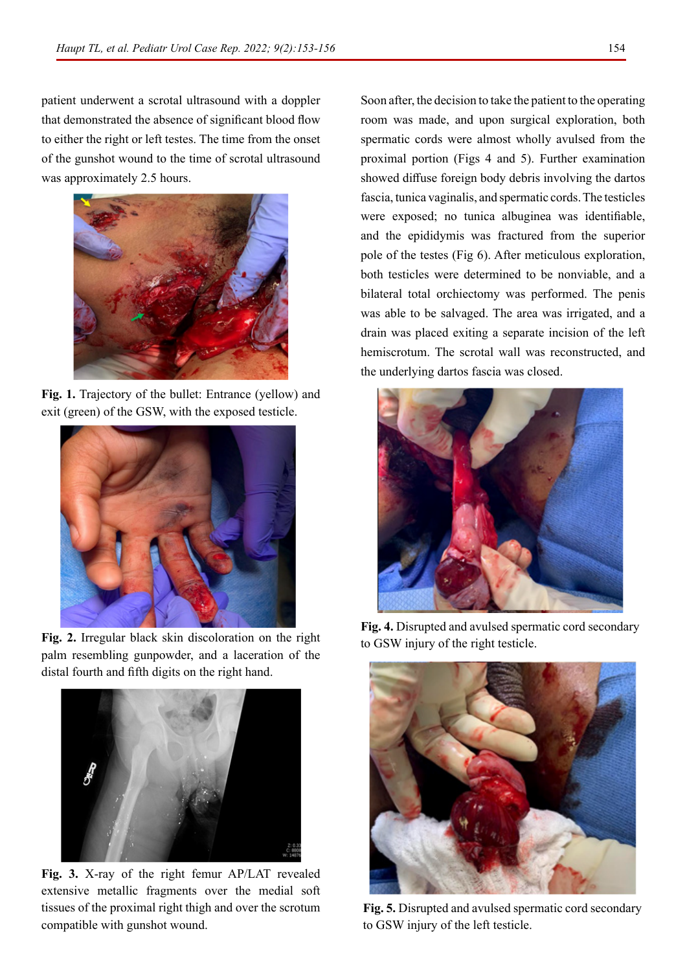patient underwent a scrotal ultrasound with a doppler that demonstrated the absence of significant blood flow to either the right or left testes. The time from the onset of the gunshot wound to the time of scrotal ultrasound was approximately 2.5 hours.



**Fig. 1.** Trajectory of the bullet: Entrance (yellow) and exit (green) of the GSW, with the exposed testicle.



**Fig. 2.** Irregular black skin discoloration on the right palm resembling gunpowder, and a laceration of the distal fourth and fifth digits on the right hand.



**Fig. 3.** X-ray of the right femur AP/LAT revealed extensive metallic fragments over the medial soft tissues of the proximal right thigh and over the scrotum compatible with gunshot wound.

Soon after, the decision to take the patient to the operating room was made, and upon surgical exploration, both spermatic cords were almost wholly avulsed from the proximal portion (Figs 4 and 5). Further examination showed diffuse foreign body debris involving the dartos fascia, tunica vaginalis, and spermatic cords. The testicles were exposed; no tunica albuginea was identifiable, and the epididymis was fractured from the superior pole of the testes (Fig 6). After meticulous exploration, both testicles were determined to be nonviable, and a bilateral total orchiectomy was performed. The penis was able to be salvaged. The area was irrigated, and a drain was placed exiting a separate incision of the left hemiscrotum. The scrotal wall was reconstructed, and the underlying dartos fascia was closed.



**Fig. 4.** Disrupted and avulsed spermatic cord secondary to GSW injury of the right testicle.



**Fig. 5.** Disrupted and avulsed spermatic cord secondary to GSW injury of the left testicle.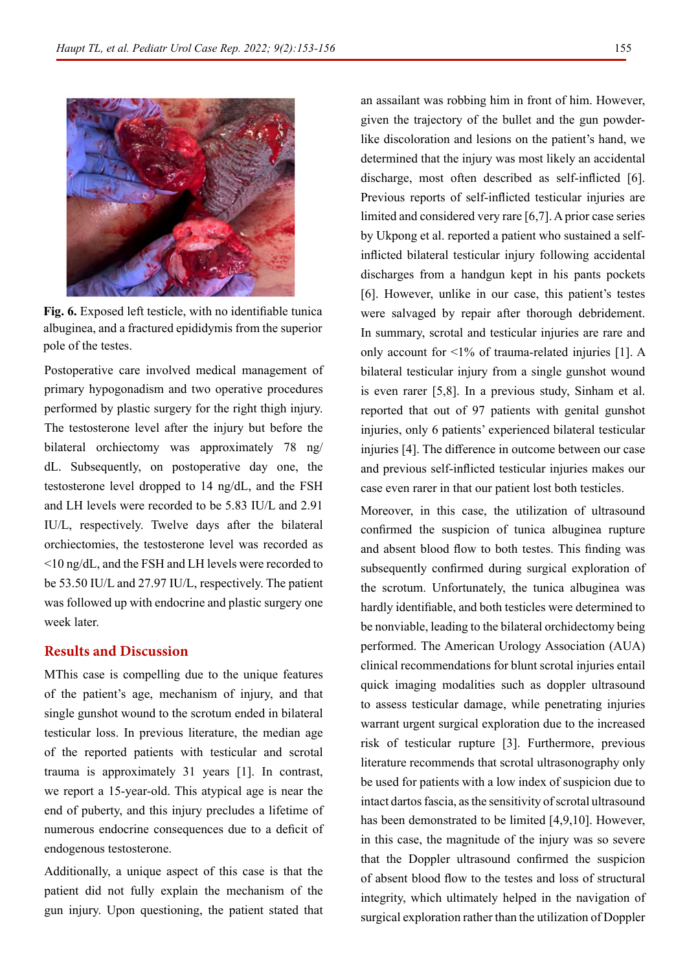

**Fig. 6.** Exposed left testicle, with no identifiable tunica albuginea, and a fractured epididymis from the superior pole of the testes.

Postoperative care involved medical management of primary hypogonadism and two operative procedures performed by plastic surgery for the right thigh injury. The testosterone level after the injury but before the bilateral orchiectomy was approximately 78 ng/ dL. Subsequently, on postoperative day one, the testosterone level dropped to 14 ng/dL, and the FSH and LH levels were recorded to be 5.83 IU/L and 2.91 IU/L, respectively. Twelve days after the bilateral orchiectomies, the testosterone level was recorded as <10 ng/dL, and the FSH and LH levels were recorded to be 53.50 IU/L and 27.97 IU/L, respectively. The patient was followed up with endocrine and plastic surgery one week later.

# **Results and Discussion**

MThis case is compelling due to the unique features of the patient's age, mechanism of injury, and that single gunshot wound to the scrotum ended in bilateral testicular loss. In previous literature, the median age of the reported patients with testicular and scrotal trauma is approximately 31 years [1]. In contrast, we report a 15-year-old. This atypical age is near the end of puberty, and this injury precludes a lifetime of numerous endocrine consequences due to a deficit of endogenous testosterone.

Additionally, a unique aspect of this case is that the patient did not fully explain the mechanism of the gun injury. Upon questioning, the patient stated that

an assailant was robbing him in front of him. However, given the trajectory of the bullet and the gun powderlike discoloration and lesions on the patient's hand, we determined that the injury was most likely an accidental discharge, most often described as self-inflicted [6]. Previous reports of self-inflicted testicular injuries are limited and considered very rare [6,7]. A prior case series by Ukpong et al. reported a patient who sustained a selfinflicted bilateral testicular injury following accidental discharges from a handgun kept in his pants pockets [6]. However, unlike in our case, this patient's testes were salvaged by repair after thorough debridement. In summary, scrotal and testicular injuries are rare and only account for <1% of trauma-related injuries [1]. A bilateral testicular injury from a single gunshot wound is even rarer [5,8]. In a previous study, Sinham et al. reported that out of 97 patients with genital gunshot injuries, only 6 patients' experienced bilateral testicular injuries [4]. The difference in outcome between our case and previous self-inflicted testicular injuries makes our case even rarer in that our patient lost both testicles.

Moreover, in this case, the utilization of ultrasound confirmed the suspicion of tunica albuginea rupture and absent blood flow to both testes. This finding was subsequently confirmed during surgical exploration of the scrotum. Unfortunately, the tunica albuginea was hardly identifiable, and both testicles were determined to be nonviable, leading to the bilateral orchidectomy being performed. The American Urology Association (AUA) clinical recommendations for blunt scrotal injuries entail quick imaging modalities such as doppler ultrasound to assess testicular damage, while penetrating injuries warrant urgent surgical exploration due to the increased risk of testicular rupture [3]. Furthermore, previous literature recommends that scrotal ultrasonography only be used for patients with a low index of suspicion due to intact dartos fascia, as the sensitivity of scrotal ultrasound has been demonstrated to be limited [4,9,10]. However, in this case, the magnitude of the injury was so severe that the Doppler ultrasound confirmed the suspicion of absent blood flow to the testes and loss of structural integrity, which ultimately helped in the navigation of surgical exploration rather than the utilization of Doppler